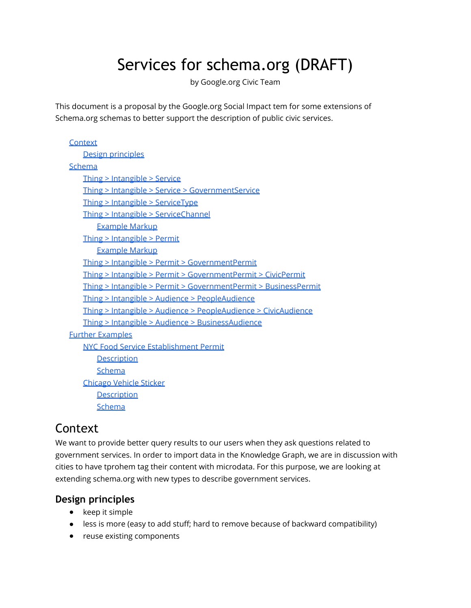# Services for schema.org (DRAFT)

by Google.org Civic Team

This document is a proposal by the Google.org Social Impact tem for some extensions of Schema.org schemas to better support the description of public civic services.

| Context                                                         |
|-----------------------------------------------------------------|
| Design principles                                               |
| Schema                                                          |
| Thing > Intangible > Service                                    |
| Thing > Intangible > Service > GovernmentService                |
| $\frac{1}{\pi}$ Thing > Intangible > ServiceType                |
| Thing > Intangible > ServiceChannel                             |
| <b>Example Markup</b>                                           |
| Thing > Intangible > Permit                                     |
| <b>Example Markup</b>                                           |
| Thing > Intangible > Permit > GovernmentPermit                  |
| Thing > Intangible > Permit > GovernmentPermit > CivicPermit    |
| Thing > Intangible > Permit > GovernmentPermit > BusinessPermit |
| Thing > Intangible > Audience > PeopleAudience                  |
| Thing > Intangible > Audience > PeopleAudience > CivicAudience  |
| Thing > Intangible > Audience > BusinessAudience                |
| <b>Further Examples</b>                                         |
| <b>NYC Food Service Establishment Permit</b>                    |
| <b>Description</b>                                              |
| Schema                                                          |
| <b>Chicago Vehicle Sticker</b>                                  |
| <b>Description</b>                                              |
| Schema                                                          |

## **Context**

We want to provide better query results to our users when they ask questions related to government services. In order to import data in the Knowledge Graph, we are in discussion with cities to have tprohem tag their content with microdata. For this purpose, we are looking at extending schema.org with new types to describe government services.

## **Design principles**

- keep it simple
- less is more (easy to add stuff; hard to remove because of backward compatibility)
- reuse existing components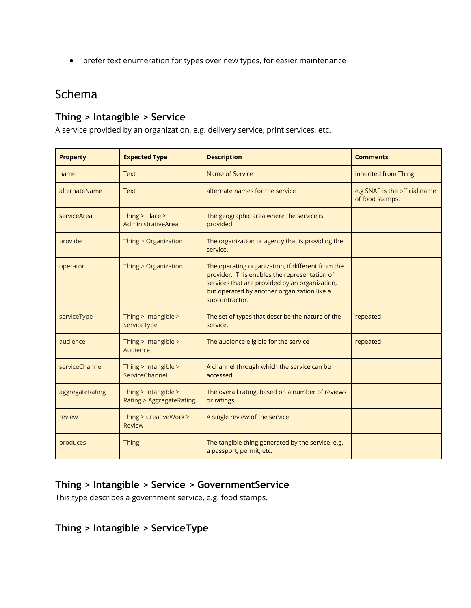<span id="page-1-0"></span>● prefer text enumeration for types over new types, for easier maintenance

## Schema

## **Thing > Intangible > Service**

A service provided by an organization, e.g. delivery service, print services, etc.

| <b>Property</b> | <b>Expected Type</b>                                       | <b>Description</b>                                                                                                                                                                                                   | <b>Comments</b>                                  |
|-----------------|------------------------------------------------------------|----------------------------------------------------------------------------------------------------------------------------------------------------------------------------------------------------------------------|--------------------------------------------------|
| name            | <b>Text</b>                                                | Name of Service                                                                                                                                                                                                      | inherited from Thing                             |
| alternateName   | <b>Text</b>                                                | alternate names for the service                                                                                                                                                                                      | e.g SNAP is the official name<br>of food stamps. |
| serviceArea     | Thing $>$ Place $>$<br>AdministrativeArea                  | The geographic area where the service is<br>provided.                                                                                                                                                                |                                                  |
| provider        | Thing > Organization                                       | The organization or agency that is providing the<br>service.                                                                                                                                                         |                                                  |
| operator        | Thing > Organization                                       | The operating organization, if different from the<br>provider. This enables the representation of<br>services that are provided by an organization,<br>but operated by another organization like a<br>subcontractor. |                                                  |
| serviceType     | Thing > Intangible ><br>ServiceType                        | The set of types that describe the nature of the<br>service.                                                                                                                                                         | repeated                                         |
| audience        | Thing > Intangible ><br>Audience                           | The audience eligible for the service                                                                                                                                                                                | repeated                                         |
| serviceChannel  | Thing > Intangible ><br>ServiceChannel                     | A channel through which the service can be<br>accessed.                                                                                                                                                              |                                                  |
| aggregateRating | Thing > Intangible ><br><b>Rating &gt; AggregateRating</b> | The overall rating, based on a number of reviews<br>or ratings                                                                                                                                                       |                                                  |
| review          | Thing > CreativeWork ><br><b>Review</b>                    | A single review of the service                                                                                                                                                                                       |                                                  |
| produces        | <b>Thing</b>                                               | The tangible thing generated by the service, e.g.<br>a passport, permit, etc.                                                                                                                                        |                                                  |

## **Thing > Intangible > Service > GovernmentService**

This type describes a government service, e.g. food stamps.

## **Thing > Intangible > ServiceType**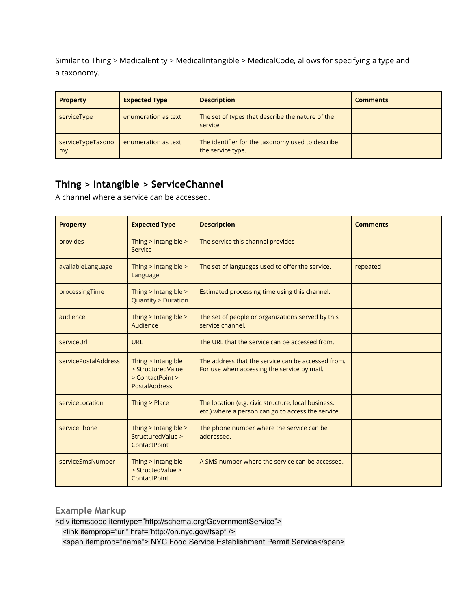<span id="page-2-0"></span>Similar to Thing > MedicalEntity > MedicalIntangible > MedicalCode, allows for specifying a type and a taxonomy.

| <b>Property</b>         | <b>Expected Type</b> | <b>Description</b>                                                    | <b>Comments</b> |
|-------------------------|----------------------|-----------------------------------------------------------------------|-----------------|
| serviceType             | enumeration as text  | The set of types that describe the nature of the<br>service           |                 |
| serviceTypeTaxono<br>my | enumeration as text  | The identifier for the taxonomy used to describe<br>the service type. |                 |

## **Thing > Intangible > ServiceChannel**

A channel where a service can be accessed.

| <b>Property</b>      | <b>Expected Type</b>                                                                | <b>Description</b>                                                                                        | <b>Comments</b> |
|----------------------|-------------------------------------------------------------------------------------|-----------------------------------------------------------------------------------------------------------|-----------------|
| provides             | Thing $>$ Intangible $>$<br>Service                                                 | The service this channel provides                                                                         |                 |
| availableLanguage    | Thing $>$ Intangible $>$<br>Language                                                | The set of languages used to offer the service.                                                           | repeated        |
| processingTime       | Thing $>$ Intangible $>$<br><b>Quantity &gt; Duration</b>                           | Estimated processing time using this channel.                                                             |                 |
| audience             | Thing > Intangible ><br>Audience                                                    | The set of people or organizations served by this<br>service channel.                                     |                 |
| serviceUrl           | <b>URL</b>                                                                          | The URL that the service can be accessed from.                                                            |                 |
| servicePostalAddress | Thing > Intangible<br>> StructuredValue<br>> ContactPoint ><br><b>PostalAddress</b> | The address that the service can be accessed from.<br>For use when accessing the service by mail.         |                 |
| serviceLocation      | Thing > Place                                                                       | The location (e.g. civic structure, local business,<br>etc.) where a person can go to access the service. |                 |
| servicePhone         | Thing $>$ Intangible $>$<br>StructuredValue ><br><b>ContactPoint</b>                | The phone number where the service can be<br>addressed.                                                   |                 |
| serviceSmsNumber     | Thing > Intangible<br>> StructedValue ><br><b>ContactPoint</b>                      | A SMS number where the service can be accessed.                                                           |                 |

### **Example Markup**

<div itemscope itemtype="http://schema.org/GovernmentService"> <link itemprop="url" href="http://on.nyc.gov/fsep" /> <span itemprop="name"> NYC Food Service Establishment Permit Service</span>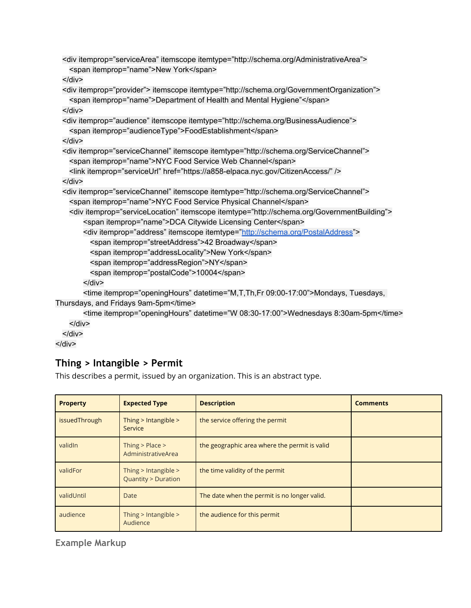```
<div itemprop="serviceArea" itemscope itemtype="http://schema.org/AdministrativeArea">
   <span itemprop="name">New York</span>
  </div>
  <div itemprop="provider"> itemscope itemtype="http://schema.org/GovernmentOrganization">
   <span itemprop="name">Department of Health and Mental Hygiene"</span>
 </div>
  <div itemprop="audience" itemscope itemtype="http://schema.org/BusinessAudience">
   <span itemprop="audienceType">FoodEstablishment</span>
  </div>
  <div itemprop="serviceChannel" itemscope itemtype="http://schema.org/ServiceChannel">
   <span itemprop="name">NYC Food Service Web Channel</span>
   <link itemprop="serviceUrl" href="https://a858-elpaca.nyc.gov/CitizenAccess/" />
 \langlediv\rangle<div itemprop="serviceChannel" itemscope itemtype="http://schema.org/ServiceChannel">
   <span itemprop="name">NYC Food Service Physical Channel</span>
   <div itemprop="serviceLocation" itemscope itemtype="http://schema.org/GovernmentBuilding">
       <span itemprop="name">DCA Citywide Licensing Center</span>
       "http://schema.org/PostalAddress">
         <span itemprop="streetAddress">42 Broadway</span>
         <span itemprop="addressLocality">New York</span>
         <span itemprop="addressRegion">NY</span>
         <span itemprop="postalCode">10004</span>
       </div>
       <time itemprop="openingHours" datetime="M,T,Th,Fr 09:00-17:00">Mondays, Tuesdays, 
Thursdays, and Fridays 9am-5pm</time>
       <time itemprop="openingHours" datetime="W 08:30-17:00">Wednesdays 8:30am-5pm</time>
   </div>
 </div>
```
</div>

## **Thing > Intangible > Permit**

This describes a permit, issued by an organization. This is an abstract type.

| <b>Property</b> | <b>Expected Type</b>                                  | <b>Description</b>                            | <b>Comments</b> |
|-----------------|-------------------------------------------------------|-----------------------------------------------|-----------------|
| issuedThrough   | Thing $>$ Intangible $>$<br>Service                   | the service offering the permit               |                 |
| validIn         | Thing $>$ Place $>$<br>AdministrativeArea             | the geographic area where the permit is valid |                 |
| validFor        | Thing > Intangible ><br><b>Quantity &gt; Duration</b> | the time validity of the permit               |                 |
| validUntil      | Date                                                  | The date when the permit is no longer valid.  |                 |
| audience        | Thing $>$ Intangible $>$<br>Audience                  | the audience for this permit                  |                 |

**Example Markup**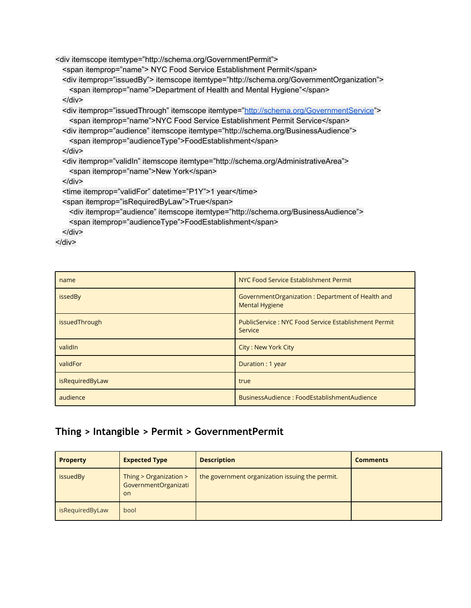<span id="page-4-0"></span><div itemscope itemtype="http://schema.org/GovernmentPermit">

<span itemprop="name"> NYC Food Service Establishment Permit</span>

<div itemprop="issuedBy"> itemscope itemtype="http://schema.org/GovernmentOrganization"> <span itemprop="name">Department of Health and Mental Hygiene"</span>

</div>

<div itemprop="issuedThrough" itemscope itemtype="<http://schema.org/GovernmentService>">

<span itemprop="name">NYC Food Service Establishment Permit Service</span>

<div itemprop="audience" itemscope itemtype="http://schema.org/BusinessAudience">

<span itemprop="audienceType">FoodEstablishment</span>

</div>

<div itemprop="validIn" itemscope itemtype="http://schema.org/AdministrativeArea"> <span itemprop="name">New York</span>

 $\langle$ div $\rangle$ 

<time itemprop="validFor" datetime="P1Y">1 year</time>

<span itemprop="isRequiredByLaw">True</span>

<div itemprop="audience" itemscope itemtype="http://schema.org/BusinessAudience"> <span itemprop="audienceType">FoodEstablishment</span>

</div>

</div>

| name            | NYC Food Service Establishment Permit                                     |
|-----------------|---------------------------------------------------------------------------|
| issedBy         | GovernmentOrganization: Department of Health and<br><b>Mental Hygiene</b> |
| issuedThrough   | <b>PublicService: NYC Food Service Establishment Permit</b><br>Service    |
| validIn         | <b>City: New York City</b>                                                |
| validFor        | Duration: 1 year                                                          |
| isRequiredByLaw | true                                                                      |
| audience        | BusinessAudience: FoodEstablishmentAudience                               |

## **Thing > Intangible > Permit > GovernmentPermit**

| <b>Property</b> | <b>Expected Type</b>                                            | <b>Description</b>                              | <b>Comments</b> |
|-----------------|-----------------------------------------------------------------|-------------------------------------------------|-----------------|
| issuedBy        | Thing $>$ Organization $>$<br>GovernmentOrganizati<br><b>on</b> | the government organization issuing the permit. |                 |
| isRequiredByLaw | bool                                                            |                                                 |                 |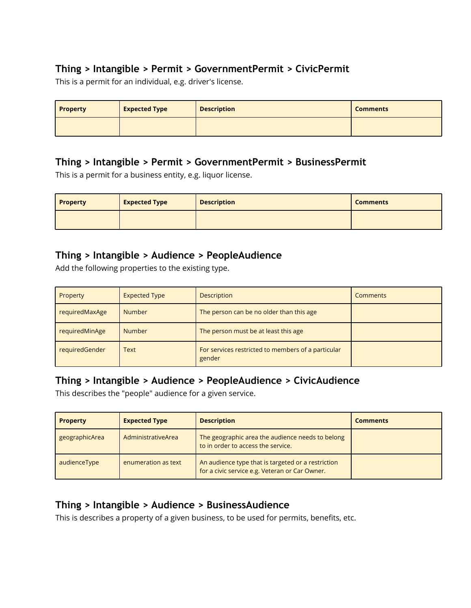## <span id="page-5-0"></span>**Thing > Intangible > Permit > GovernmentPermit > CivicPermit**

This is a permit for an individual, e.g. driver's license.

| <b>Property</b> | <b>Expected Type</b> | <b>Description</b> | <b>Comments</b> |
|-----------------|----------------------|--------------------|-----------------|
|                 |                      |                    |                 |

## **Thing > Intangible > Permit > GovernmentPermit > BusinessPermit**

This is a permit for a business entity, e.g. liquor license.

| Property | <b>Expected Type</b> | <b>Description</b> | <b>Comments</b> |
|----------|----------------------|--------------------|-----------------|
|          |                      |                    |                 |

## **Thing > Intangible > Audience > PeopleAudience**

Add the following properties to the existing type.

| Property       | <b>Expected Type</b> | <b>Description</b>                                           | <b>Comments</b> |
|----------------|----------------------|--------------------------------------------------------------|-----------------|
| requiredMaxAge | <b>Number</b>        | The person can be no older than this age                     |                 |
| requiredMinAge | <b>Number</b>        | The person must be at least this age                         |                 |
| requiredGender | <b>Text</b>          | For services restricted to members of a particular<br>gender |                 |

## **Thing > Intangible > Audience > PeopleAudience > CivicAudience**

This describes the "people" audience for a given service.

| <b>Property</b> | <b>Expected Type</b> | <b>Description</b>                                                                                   | <b>Comments</b> |
|-----------------|----------------------|------------------------------------------------------------------------------------------------------|-----------------|
| geographicArea  | AdministrativeArea   | The geographic area the audience needs to belong<br>to in order to access the service.               |                 |
| audienceType    | enumeration as text  | An audience type that is targeted or a restriction<br>for a civic service e.g. Veteran or Car Owner. |                 |

## **Thing > Intangible > Audience > BusinessAudience**

This is describes a property of a given business, to be used for permits, benefits, etc.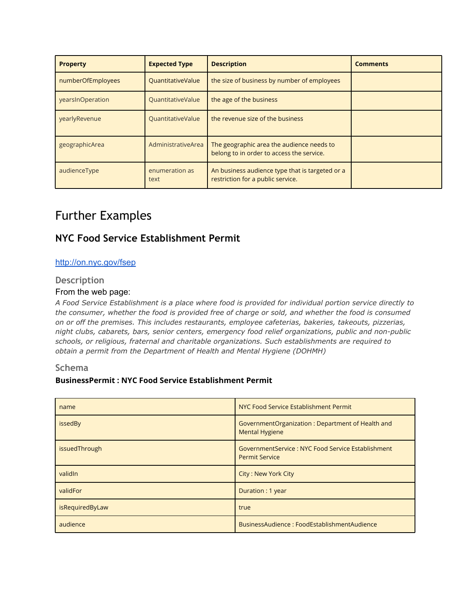<span id="page-6-0"></span>

| <b>Property</b>   | <b>Expected Type</b>     | <b>Description</b>                                                                     | <b>Comments</b> |
|-------------------|--------------------------|----------------------------------------------------------------------------------------|-----------------|
| numberOfEmployees | <b>QuantitativeValue</b> | the size of business by number of employees                                            |                 |
| yearsInOperation  | <b>QuantitativeValue</b> | the age of the business                                                                |                 |
| yearlyRevenue     | <b>QuantitativeValue</b> | the revenue size of the business                                                       |                 |
| geographicArea    | AdministrativeArea       | The geographic area the audience needs to<br>belong to in order to access the service. |                 |
| audienceType      | enumeration as<br>text   | An business audience type that is targeted or a<br>restriction for a public service.   |                 |

## Further Examples

## **NYC Food Service Establishment Permit**

#### <http://on.nyc.gov/fsep>

#### **Description**

#### From the web page:

*A Food Service Establishment is a place where food is provided for individual portion service directly to the consumer, whether the food is provided free of charge or sold, and whether the food is consumed on or off the premises. This includes restaurants, employee cafeterias, bakeries, takeouts, pizzerias, night clubs, cabarets, bars, senior centers, emergency food relief organizations, public and non-public schools, or religious, fraternal and charitable organizations. Such establishments are required to obtain a permit from the Department of Health and Mental Hygiene (DOHMH)*

#### **Schema**

#### **BusinessPermit : NYC Food Service Establishment Permit**

| name            | NYC Food Service Establishment Permit                                       |
|-----------------|-----------------------------------------------------------------------------|
| issedBy         | GovernmentOrganization: Department of Health and<br><b>Mental Hygiene</b>   |
| issuedThrough   | GovernmentService : NYC Food Service Establishment<br><b>Permit Service</b> |
| validIn         | <b>City: New York City</b>                                                  |
| validFor        | Duration: 1 year                                                            |
| isRequiredByLaw | true                                                                        |
| audience        | BusinessAudience: FoodEstablishmentAudience                                 |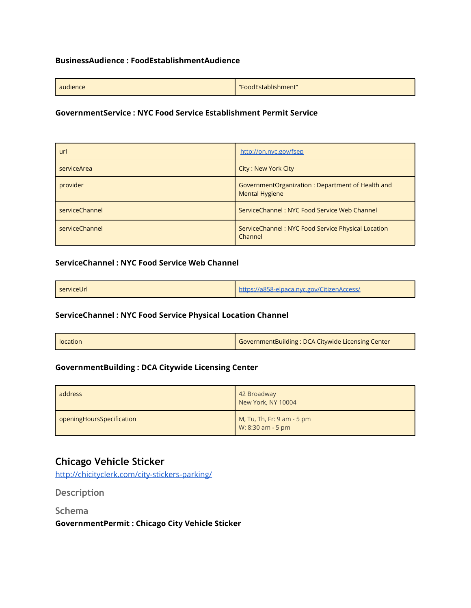#### <span id="page-7-0"></span>**BusinessAudience : FoodEstablishmentAudience**

| audience | "FoodEstablishment" |
|----------|---------------------|
|          |                     |

#### **GovernmentService : NYC Food Service Establishment Permit Service**

| url            | http://on.nyc.gov/fsep                                                    |
|----------------|---------------------------------------------------------------------------|
| serviceArea    | City: New York City                                                       |
| provider       | GovernmentOrganization: Department of Health and<br><b>Mental Hygiene</b> |
| serviceChannel | ServiceChannel: NYC Food Service Web Channel                              |
| serviceChannel | ServiceChannel: NYC Food Service Physical Location<br>Channel             |

#### **ServiceChannel : NYC Food Service Web Channel**

| serviceUrl | https://a858-elpaca.nyc.gov/CitizenAccess/ |
|------------|--------------------------------------------|
|------------|--------------------------------------------|

#### **ServiceChannel : NYC Food Service Physical Location Channel**

| l location | GovernmentBuilding: DCA Citywide Licensing Center |
|------------|---------------------------------------------------|
|------------|---------------------------------------------------|

#### **GovernmentBuilding : DCA Citywide Licensing Center**

| address                   | 42 Broadway<br>New York, NY 10004               |
|---------------------------|-------------------------------------------------|
| openingHoursSpecification | M, Tu, Th, Fr: 9 am - 5 pm<br>W: 8:30 am - 5 pm |

## **Chicago Vehicle Sticker**

<http://chicityclerk.com/city-stickers-parking/>

**Description**

**Schema**

**GovernmentPermit : Chicago City Vehicle Sticker**